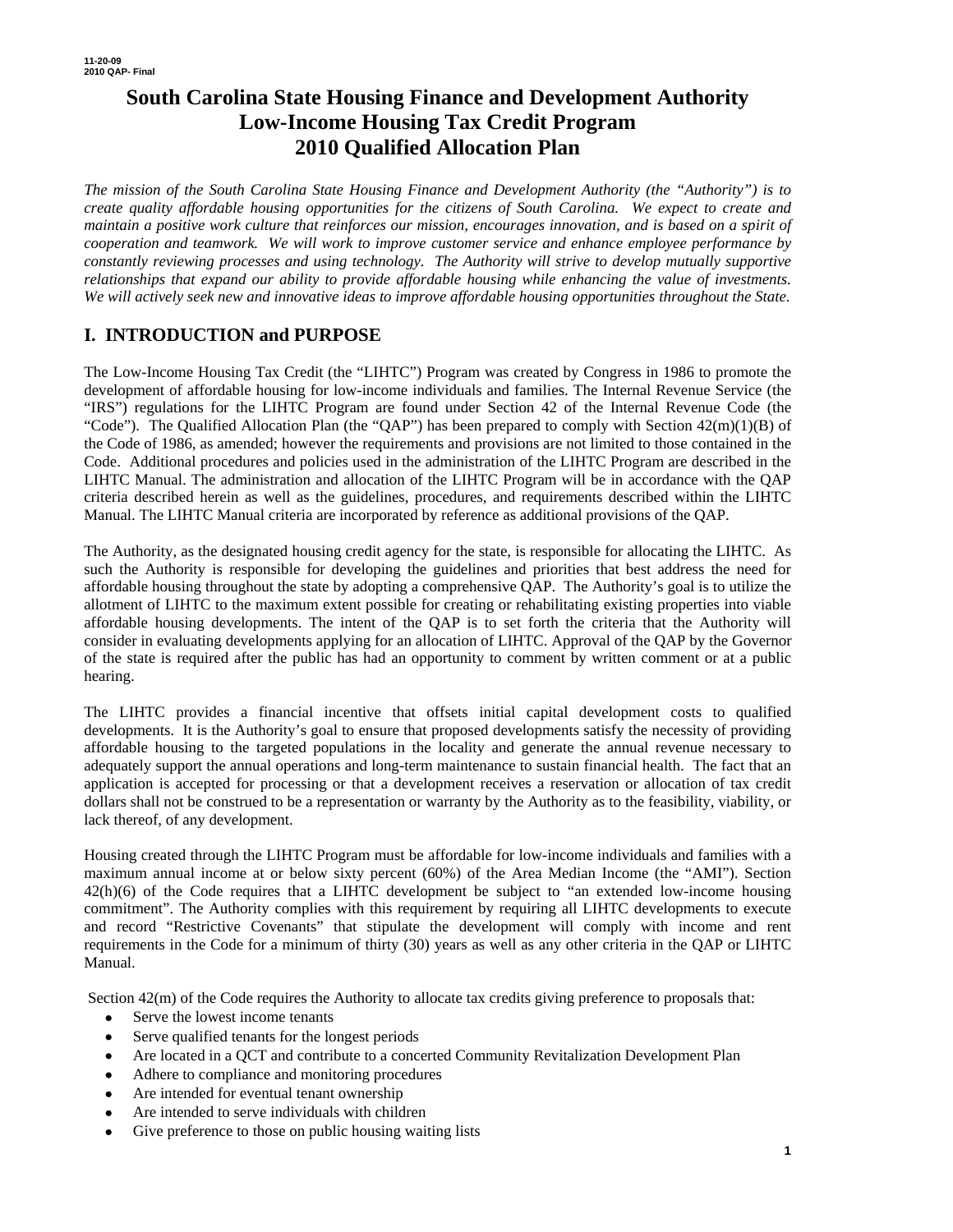# **South Carolina State Housing Finance and Development Authority Low-Income Housing Tax Credit Program 2010 Qualified Allocation Plan**

*The mission of the South Carolina State Housing Finance and Development Authority (the "Authority") is to create quality affordable housing opportunities for the citizens of South Carolina. We expect to create and maintain a positive work culture that reinforces our mission, encourages innovation, and is based on a spirit of cooperation and teamwork. We will work to improve customer service and enhance employee performance by constantly reviewing processes and using technology. The Authority will strive to develop mutually supportive relationships that expand our ability to provide affordable housing while enhancing the value of investments. We will actively seek new and innovative ideas to improve affordable housing opportunities throughout the State.* 

# **I. INTRODUCTION and PURPOSE**

The Low-Income Housing Tax Credit (the "LIHTC") Program was created by Congress in 1986 to promote the development of affordable housing for low-income individuals and families. The Internal Revenue Service (the "IRS") regulations for the LIHTC Program are found under Section 42 of the Internal Revenue Code (the "Code"). The Qualified Allocation Plan (the "QAP") has been prepared to comply with Section  $42(m)(1)(B)$  of the Code of 1986, as amended; however the requirements and provisions are not limited to those contained in the Code. Additional procedures and policies used in the administration of the LIHTC Program are described in the LIHTC Manual. The administration and allocation of the LIHTC Program will be in accordance with the QAP criteria described herein as well as the guidelines, procedures, and requirements described within the LIHTC Manual. The LIHTC Manual criteria are incorporated by reference as additional provisions of the QAP.

The Authority, as the designated housing credit agency for the state, is responsible for allocating the LIHTC. As such the Authority is responsible for developing the guidelines and priorities that best address the need for affordable housing throughout the state by adopting a comprehensive QAP. The Authority's goal is to utilize the allotment of LIHTC to the maximum extent possible for creating or rehabilitating existing properties into viable affordable housing developments. The intent of the QAP is to set forth the criteria that the Authority will consider in evaluating developments applying for an allocation of LIHTC. Approval of the QAP by the Governor of the state is required after the public has had an opportunity to comment by written comment or at a public hearing.

The LIHTC provides a financial incentive that offsets initial capital development costs to qualified developments. It is the Authority's goal to ensure that proposed developments satisfy the necessity of providing affordable housing to the targeted populations in the locality and generate the annual revenue necessary to adequately support the annual operations and long-term maintenance to sustain financial health. The fact that an application is accepted for processing or that a development receives a reservation or allocation of tax credit dollars shall not be construed to be a representation or warranty by the Authority as to the feasibility, viability, or lack thereof, of any development.

Housing created through the LIHTC Program must be affordable for low-income individuals and families with a maximum annual income at or below sixty percent (60%) of the Area Median Income (the "AMI"). Section 42(h)(6) of the Code requires that a LIHTC development be subject to "an extended low-income housing commitment". The Authority complies with this requirement by requiring all LIHTC developments to execute and record "Restrictive Covenants" that stipulate the development will comply with income and rent requirements in the Code for a minimum of thirty (30) years as well as any other criteria in the QAP or LIHTC Manual.

Section 42(m) of the Code requires the Authority to allocate tax credits giving preference to proposals that:

- Serve the lowest income tenants
- Serve qualified tenants for the longest periods
- Are located in a QCT and contribute to a concerted Community Revitalization Development Plan
- Adhere to compliance and monitoring procedures
- Are intended for eventual tenant ownership
- Are intended to serve individuals with children
- Give preference to those on public housing waiting lists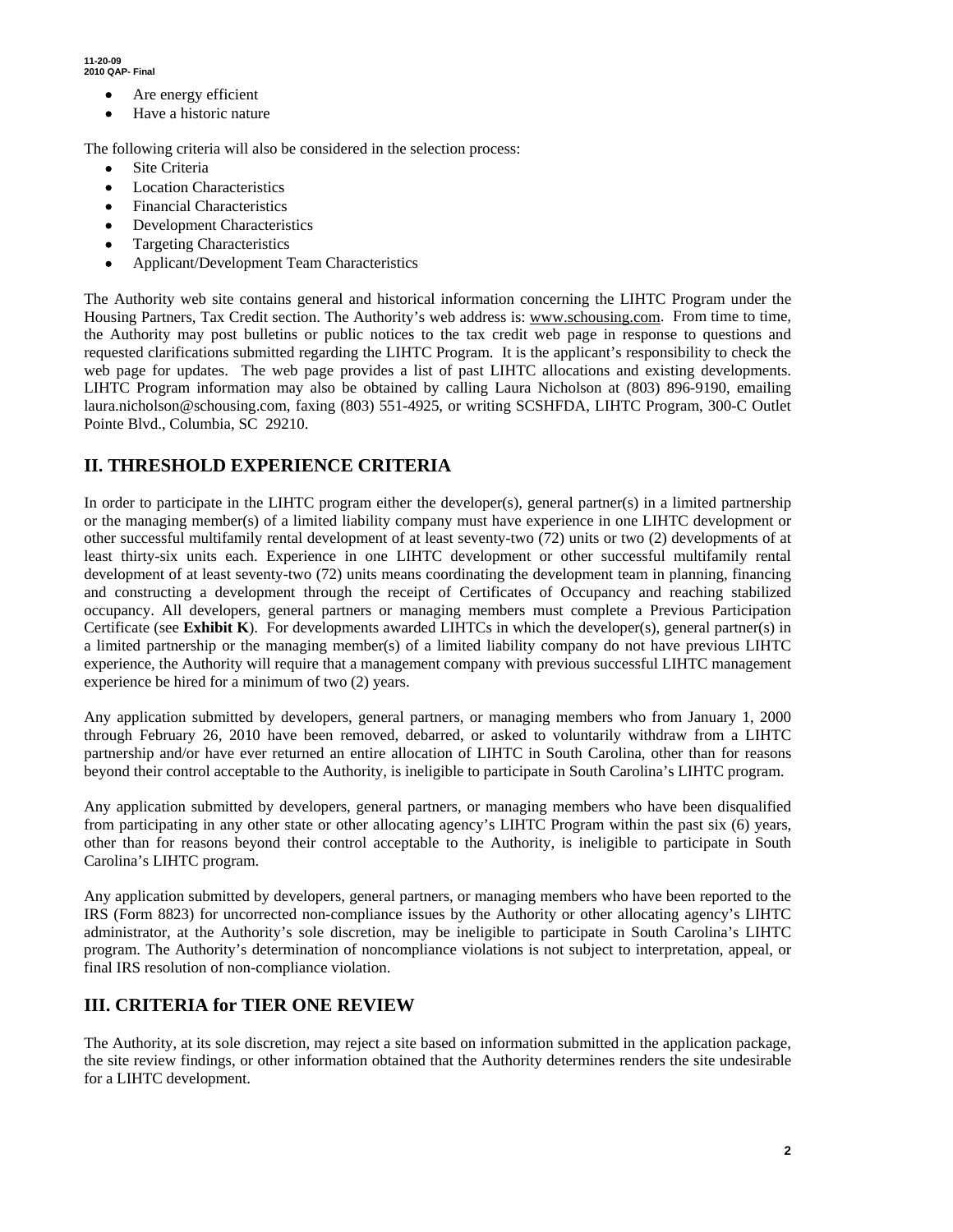- Are energy efficient
- Have a historic nature

The following criteria will also be considered in the selection process:

- Site Criteria
- **Location Characteristics**
- Financial Characteristics
- **Development Characteristics**
- Targeting Characteristics
- Applicant/Development Team Characteristics

The Authority web site contains general and historical information concerning the LIHTC Program under the Housing Partners, Tax Credit section. The Authority's web address is: www.schousing.com. From time to time, the Authority may post bulletins or public notices to the tax credit web page in response to questions and requested clarifications submitted regarding the LIHTC Program. It is the applicant's responsibility to check the web page for updates. The web page provides a list of past LIHTC allocations and existing developments. LIHTC Program information may also be obtained by calling Laura Nicholson at (803) 896-9190, emailing laura.nicholson@schousing.com, faxing (803) 551-4925, or writing SCSHFDA, LIHTC Program, 300-C Outlet Pointe Blvd., Columbia, SC 29210.

## **II. THRESHOLD EXPERIENCE CRITERIA**

In order to participate in the LIHTC program either the developer(s), general partner(s) in a limited partnership or the managing member(s) of a limited liability company must have experience in one LIHTC development or other successful multifamily rental development of at least seventy-two (72) units or two (2) developments of at least thirty-six units each. Experience in one LIHTC development or other successful multifamily rental development of at least seventy-two (72) units means coordinating the development team in planning, financing and constructing a development through the receipt of Certificates of Occupancy and reaching stabilized occupancy. All developers, general partners or managing members must complete a Previous Participation Certificate (see **Exhibit K**). For developments awarded LIHTCs in which the developer(s), general partner(s) in a limited partnership or the managing member(s) of a limited liability company do not have previous LIHTC experience, the Authority will require that a management company with previous successful LIHTC management experience be hired for a minimum of two (2) years.

Any application submitted by developers, general partners, or managing members who from January 1, 2000 through February 26, 2010 have been removed, debarred, or asked to voluntarily withdraw from a LIHTC partnership and/or have ever returned an entire allocation of LIHTC in South Carolina, other than for reasons beyond their control acceptable to the Authority, is ineligible to participate in South Carolina's LIHTC program.

Any application submitted by developers, general partners, or managing members who have been disqualified from participating in any other state or other allocating agency's LIHTC Program within the past six (6) years, other than for reasons beyond their control acceptable to the Authority, is ineligible to participate in South Carolina's LIHTC program.

Any application submitted by developers, general partners, or managing members who have been reported to the IRS (Form 8823) for uncorrected non-compliance issues by the Authority or other allocating agency's LIHTC administrator, at the Authority's sole discretion, may be ineligible to participate in South Carolina's LIHTC program. The Authority's determination of noncompliance violations is not subject to interpretation, appeal, or final IRS resolution of non-compliance violation.

## **III. CRITERIA for TIER ONE REVIEW**

The Authority, at its sole discretion, may reject a site based on information submitted in the application package, the site review findings, or other information obtained that the Authority determines renders the site undesirable for a LIHTC development.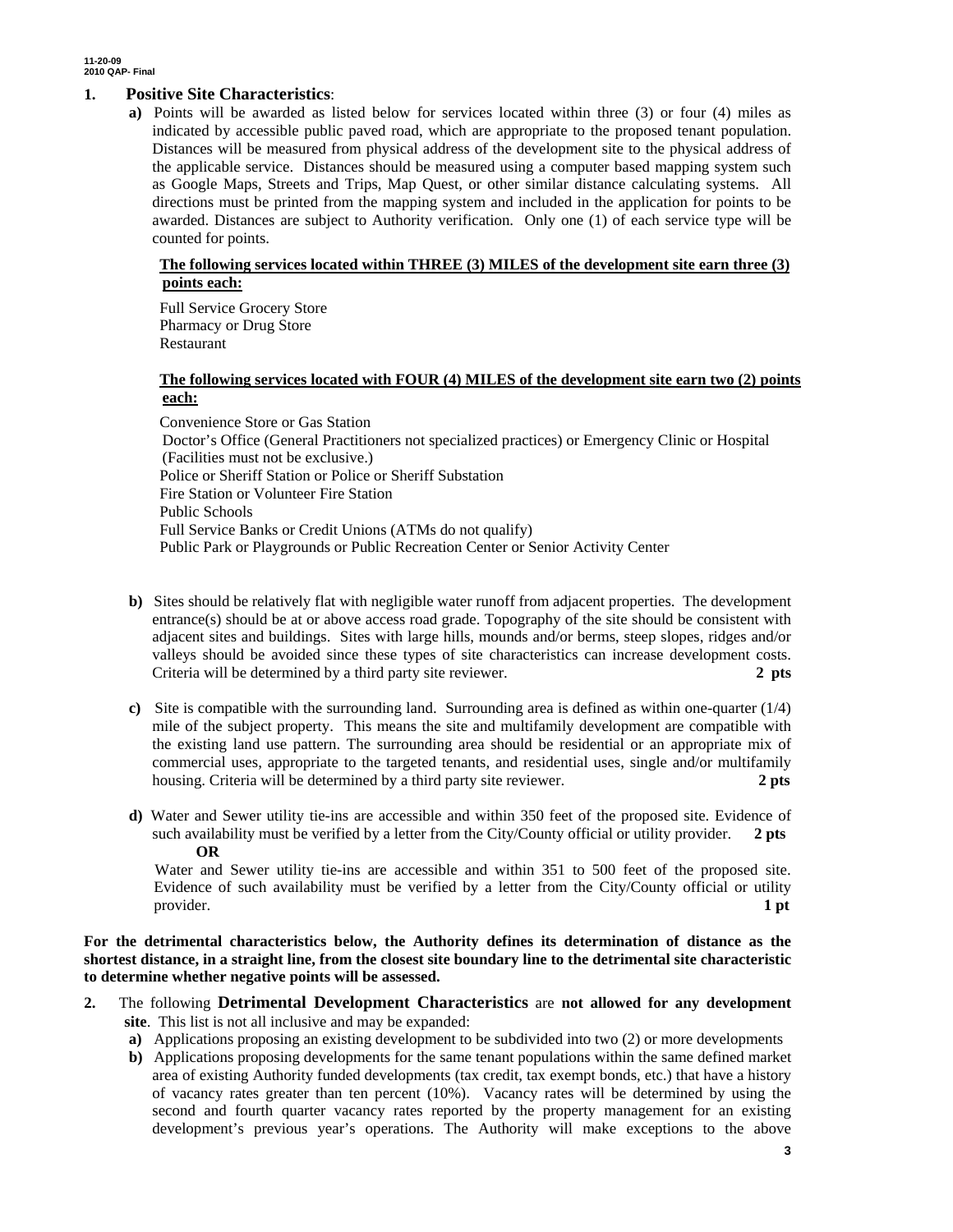#### **1. Positive Site Characteristics**:

**a)** Points will be awarded as listed below for services located within three (3) or four (4) miles as indicated by accessible public paved road, which are appropriate to the proposed tenant population. Distances will be measured from physical address of the development site to the physical address of the applicable service. Distances should be measured using a computer based mapping system such as Google Maps, Streets and Trips, Map Quest, or other similar distance calculating systems. All directions must be printed from the mapping system and included in the application for points to be awarded. Distances are subject to Authority verification. Only one (1) of each service type will be counted for points.

### **The following services located within THREE (3) MILES of the development site earn three (3) points each:**

Full Service Grocery Store Pharmacy or Drug Store Restaurant

#### **The following services located with FOUR (4) MILES of the development site earn two (2) points each:**

Convenience Store or Gas Station Doctor's Office (General Practitioners not specialized practices) or Emergency Clinic or Hospital (Facilities must not be exclusive.) Police or Sheriff Station or Police or Sheriff Substation Fire Station or Volunteer Fire Station Public Schools Full Service Banks or Credit Unions (ATMs do not qualify) Public Park or Playgrounds or Public Recreation Center or Senior Activity Center

- **b**) Sites should be relatively flat with negligible water runoff from adjacent properties. The development entrance(s) should be at or above access road grade. Topography of the site should be consistent with adjacent sites and buildings. Sites with large hills, mounds and/or berms, steep slopes, ridges and/or valleys should be avoided since these types of site characteristics can increase development costs. Criteria will be determined by a third party site reviewer. **2 pts**
- **c)** Site is compatible with the surrounding land. Surrounding area is defined as within one-quarter (1/4) mile of the subject property. This means the site and multifamily development are compatible with the existing land use pattern. The surrounding area should be residential or an appropriate mix of commercial uses, appropriate to the targeted tenants, and residential uses, single and/or multifamily housing. Criteria will be determined by a third party site reviewer. **2 pts**
- **d)** Water and Sewer utility tie-ins are accessible and within 350 feet of the proposed site. Evidence of such availability must be verified by a letter from the City/County official or utility provider. **OR**

 Water and Sewer utility tie-ins are accessible and within 351 to 500 feet of the proposed site. Evidence of such availability must be verified by a letter from the City/County official or utility provider. **1 pt 1** 

**For the detrimental characteristics below, the Authority defines its determination of distance as the shortest distance, in a straight line, from the closest site boundary line to the detrimental site characteristic to determine whether negative points will be assessed.** 

- **2.** The following **Detrimental Development Characteristics** are **not allowed for any development site**. This list is not all inclusive and may be expanded:
	- **a)** Applications proposing an existing development to be subdivided into two (2) or more developments
	- **b)** Applications proposing developments for the same tenant populations within the same defined market area of existing Authority funded developments (tax credit, tax exempt bonds, etc.) that have a history of vacancy rates greater than ten percent (10%). Vacancy rates will be determined by using the second and fourth quarter vacancy rates reported by the property management for an existing development's previous year's operations. The Authority will make exceptions to the above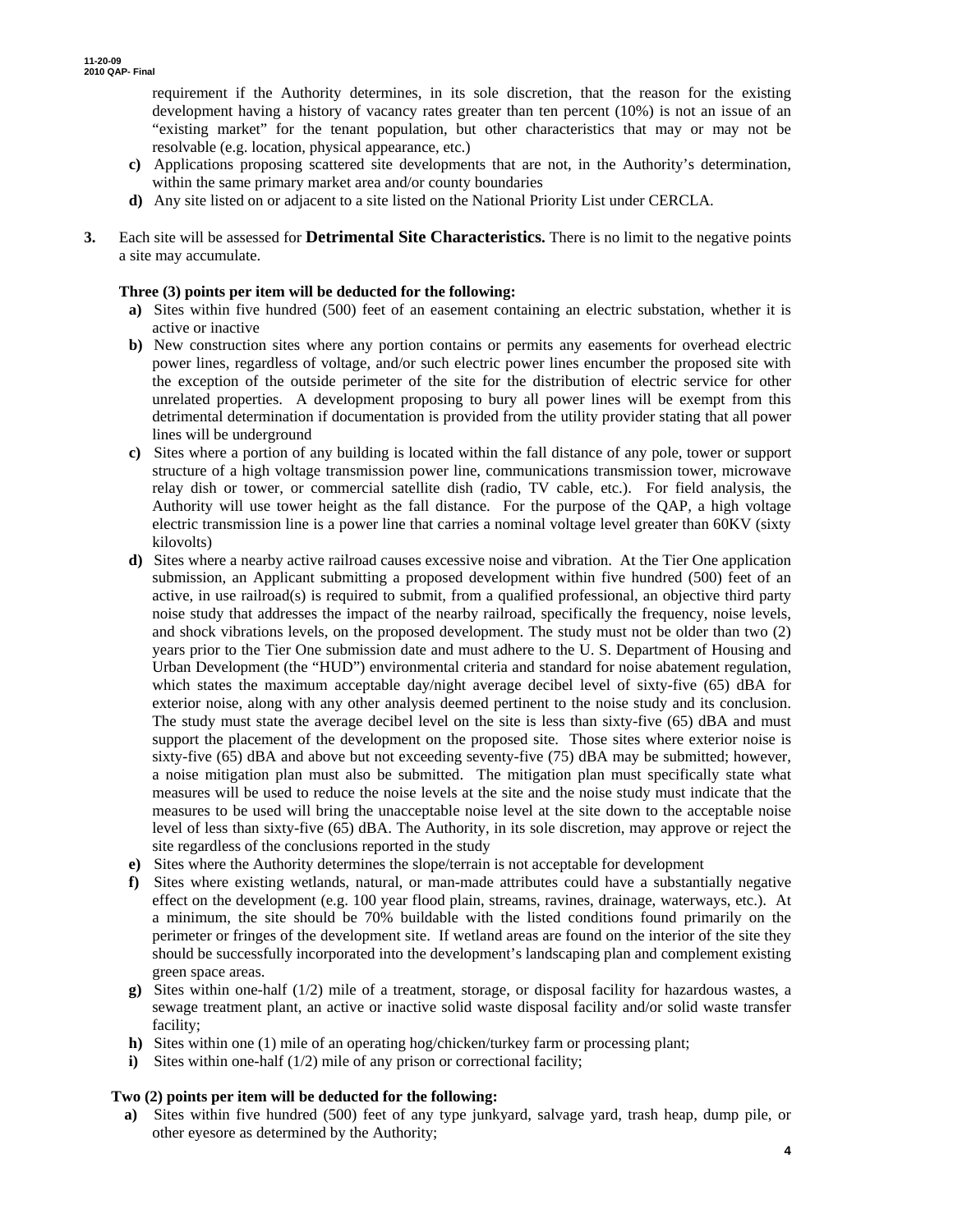requirement if the Authority determines, in its sole discretion, that the reason for the existing development having a history of vacancy rates greater than ten percent (10%) is not an issue of an "existing market" for the tenant population, but other characteristics that may or may not be resolvable (e.g. location, physical appearance, etc.)

- **c)** Applications proposing scattered site developments that are not, in the Authority's determination, within the same primary market area and/or county boundaries
- **d)** Any site listed on or adjacent to a site listed on the National Priority List under CERCLA.
- **3.** Each site will be assessed for **Detrimental Site Characteristics.** There is no limit to the negative points a site may accumulate.

#### **Three (3) points per item will be deducted for the following:**

- **a)** Sites within five hundred (500) feet of an easement containing an electric substation, whether it is active or inactive
- **b)** New construction sites where any portion contains or permits any easements for overhead electric power lines, regardless of voltage, and/or such electric power lines encumber the proposed site with the exception of the outside perimeter of the site for the distribution of electric service for other unrelated properties. A development proposing to bury all power lines will be exempt from this detrimental determination if documentation is provided from the utility provider stating that all power lines will be underground
- **c)** Sites where a portion of any building is located within the fall distance of any pole, tower or support structure of a high voltage transmission power line, communications transmission tower, microwave relay dish or tower, or commercial satellite dish (radio, TV cable, etc.). For field analysis, the Authority will use tower height as the fall distance. For the purpose of the QAP, a high voltage electric transmission line is a power line that carries a nominal voltage level greater than 60KV (sixty kilovolts)
- **d)** Sites where a nearby active railroad causes excessive noise and vibration. At the Tier One application submission, an Applicant submitting a proposed development within five hundred (500) feet of an active, in use railroad(s) is required to submit, from a qualified professional, an objective third party noise study that addresses the impact of the nearby railroad, specifically the frequency, noise levels, and shock vibrations levels, on the proposed development. The study must not be older than two (2) years prior to the Tier One submission date and must adhere to the U. S. Department of Housing and Urban Development (the "HUD") environmental criteria and standard for noise abatement regulation, which states the maximum acceptable day/night average decibel level of sixty-five (65) dBA for exterior noise, along with any other analysis deemed pertinent to the noise study and its conclusion. The study must state the average decibel level on the site is less than sixty-five (65) dBA and must support the placement of the development on the proposed site. Those sites where exterior noise is sixty-five (65) dBA and above but not exceeding seventy-five (75) dBA may be submitted; however, a noise mitigation plan must also be submitted. The mitigation plan must specifically state what measures will be used to reduce the noise levels at the site and the noise study must indicate that the measures to be used will bring the unacceptable noise level at the site down to the acceptable noise level of less than sixty-five (65) dBA. The Authority, in its sole discretion, may approve or reject the site regardless of the conclusions reported in the study
- **e)** Sites where the Authority determines the slope/terrain is not acceptable for development
- **f)** Sites where existing wetlands, natural, or man-made attributes could have a substantially negative effect on the development (e.g. 100 year flood plain, streams, ravines, drainage, waterways, etc.). At a minimum, the site should be 70% buildable with the listed conditions found primarily on the perimeter or fringes of the development site. If wetland areas are found on the interior of the site they should be successfully incorporated into the development's landscaping plan and complement existing green space areas.
- **g)** Sites within one-half (1/2) mile of a treatment, storage, or disposal facility for hazardous wastes, a sewage treatment plant, an active or inactive solid waste disposal facility and/or solid waste transfer facility;
- **h)** Sites within one (1) mile of an operating hog/chicken/turkey farm or processing plant;
- **i**) Sites within one-half (1/2) mile of any prison or correctional facility;

#### **Two (2) points per item will be deducted for the following:**

**a)** Sites within five hundred (500) feet of any type junkyard, salvage yard, trash heap, dump pile, or other eyesore as determined by the Authority;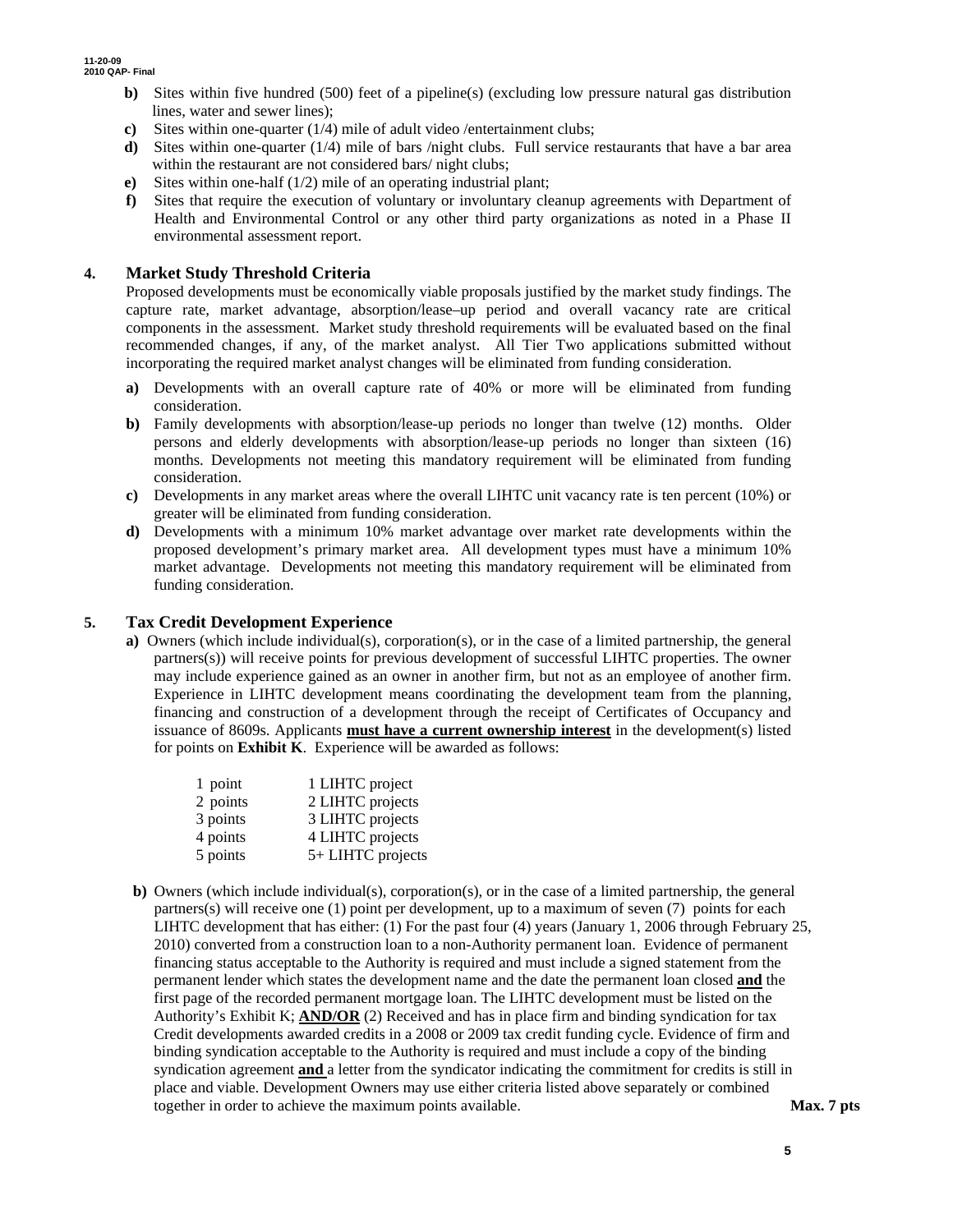- **b)** Sites within five hundred (500) feet of a pipeline(s) (excluding low pressure natural gas distribution lines, water and sewer lines);
- **c)** Sites within one-quarter (1/4) mile of adult video /entertainment clubs;
- **d)** Sites within one-quarter (1/4) mile of bars /night clubs. Full service restaurants that have a bar area within the restaurant are not considered bars/ night clubs;
- **e)** Sites within one-half (1/2) mile of an operating industrial plant;
- **f)** Sites that require the execution of voluntary or involuntary cleanup agreements with Department of Health and Environmental Control or any other third party organizations as noted in a Phase II environmental assessment report.

### **4. Market Study Threshold Criteria**

Proposed developments must be economically viable proposals justified by the market study findings. The capture rate, market advantage, absorption/lease–up period and overall vacancy rate are critical components in the assessment. Market study threshold requirements will be evaluated based on the final recommended changes, if any, of the market analyst. All Tier Two applications submitted without incorporating the required market analyst changes will be eliminated from funding consideration.

- **a)** Developments with an overall capture rate of 40% or more will be eliminated from funding consideration.
- **b)** Family developments with absorption/lease-up periods no longer than twelve (12) months. Older persons and elderly developments with absorption/lease-up periods no longer than sixteen (16) months. Developments not meeting this mandatory requirement will be eliminated from funding consideration.
- **c)** Developments in any market areas where the overall LIHTC unit vacancy rate is ten percent (10%) or greater will be eliminated from funding consideration.
- **d)** Developments with a minimum 10% market advantage over market rate developments within the proposed development's primary market area. All development types must have a minimum 10% market advantage. Developments not meeting this mandatory requirement will be eliminated from funding consideration.

#### **5. Tax Credit Development Experience**

**a)** Owners (which include individual(s), corporation(s), or in the case of a limited partnership, the general partners(s)) will receive points for previous development of successful LIHTC properties. The owner may include experience gained as an owner in another firm, but not as an employee of another firm. Experience in LIHTC development means coordinating the development team from the planning, financing and construction of a development through the receipt of Certificates of Occupancy and issuance of 8609s. Applicants **must have a current ownership interest** in the development(s) listed for points on **Exhibit K**. Experience will be awarded as follows:

| 1 point  | 1 LIHTC project   |
|----------|-------------------|
| 2 points | 2 LIHTC projects  |
| 3 points | 3 LIHTC projects  |
| 4 points | 4 LIHTC projects  |
| 5 points | 5+ LIHTC projects |

**b)** Owners (which include individual(s), corporation(s), or in the case of a limited partnership, the general partners(s) will receive one (1) point per development, up to a maximum of seven (7) points for each LIHTC development that has either: (1) For the past four (4) years (January 1, 2006 through February 25, 2010) converted from a construction loan to a non-Authority permanent loan. Evidence of permanent financing status acceptable to the Authority is required and must include a signed statement from the permanent lender which states the development name and the date the permanent loan closed **and** the first page of the recorded permanent mortgage loan. The LIHTC development must be listed on the Authority's Exhibit K; **AND/OR** (2) Received and has in place firm and binding syndication for tax Credit developments awarded credits in a 2008 or 2009 tax credit funding cycle. Evidence of firm and binding syndication acceptable to the Authority is required and must include a copy of the binding syndication agreement **and** a letter from the syndicator indicating the commitment for credits is still in place and viable. Development Owners may use either criteria listed above separately or combined together in order to achieve the maximum points available. **Max. 7 pts**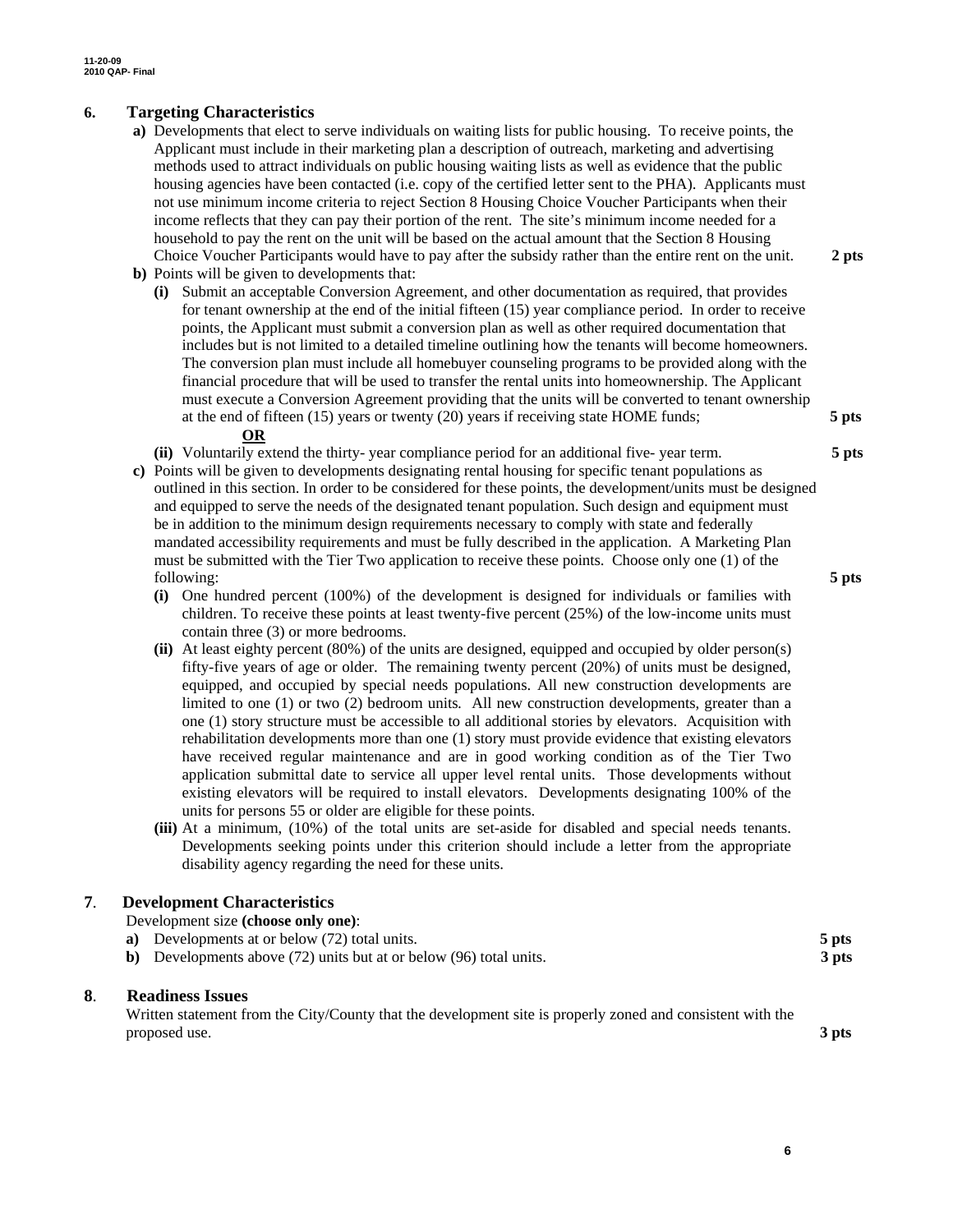## **6. Targeting Characteristics**

- **a)** Developments that elect to serve individuals on waiting lists for public housing. To receive points, the Applicant must include in their marketing plan a description of outreach, marketing and advertising methods used to attract individuals on public housing waiting lists as well as evidence that the public housing agencies have been contacted (i.e. copy of the certified letter sent to the PHA). Applicants must not use minimum income criteria to reject Section 8 Housing Choice Voucher Participants when their income reflects that they can pay their portion of the rent. The site's minimum income needed for a household to pay the rent on the unit will be based on the actual amount that the Section 8 Housing Choice Voucher Participants would have to pay after the subsidy rather than the entire rent on the unit. **2 pts**
- **b)** Points will be given to developments that:
	- **(i)** Submit an acceptable Conversion Agreement, and other documentation as required, that provides for tenant ownership at the end of the initial fifteen (15) year compliance period. In order to receive points, the Applicant must submit a conversion plan as well as other required documentation that includes but is not limited to a detailed timeline outlining how the tenants will become homeowners. The conversion plan must include all homebuyer counseling programs to be provided along with the financial procedure that will be used to transfer the rental units into homeownership. The Applicant must execute a Conversion Agreement providing that the units will be converted to tenant ownership at the end of fifteen (15) years or twenty (20) years if receiving state HOME funds; **5 pts OR**

**(ii)** Voluntarily extend the thirty- year compliance period for an additional five- year term. **5 pts**

- **c)** Points will be given to developments designating rental housing for specific tenant populations as outlined in this section. In order to be considered for these points, the development/units must be designed and equipped to serve the needs of the designated tenant population. Such design and equipment must be in addition to the minimum design requirements necessary to comply with state and federally mandated accessibility requirements and must be fully described in the application. A Marketing Plan must be submitted with the Tier Two application to receive these points. Choose only one (1) of the following: **5 pts**
	- **(i)** One hundred percent (100%) of the development is designed for individuals or families with children. To receive these points at least twenty-five percent (25%) of the low-income units must contain three (3) or more bedrooms.
	- **(ii)** At least eighty percent (80%) of the units are designed, equipped and occupied by older person(s) fifty-five years of age or older. The remaining twenty percent (20%) of units must be designed, equipped, and occupied by special needs populations. All new construction developments are limited to one (1) or two (2) bedroom units*.* All new construction developments, greater than a one (1) story structure must be accessible to all additional stories by elevators. Acquisition with rehabilitation developments more than one (1) story must provide evidence that existing elevators have received regular maintenance and are in good working condition as of the Tier Two application submittal date to service all upper level rental units. Those developments without existing elevators will be required to install elevators. Developments designating 100% of the units for persons 55 or older are eligible for these points.
	- **(iii)** At a minimum, (10%) of the total units are set-aside for disabled and special needs tenants. Developments seeking points under this criterion should include a letter from the appropriate disability agency regarding the need for these units.

#### **7**. **Development Characteristics**

| Development size (choose only one):                                        |       |
|----------------------------------------------------------------------------|-------|
| a) Developments at or below (72) total units.                              | 5 pts |
| <b>b</b> ) Developments above (72) units but at or below (96) total units. | 3 pts |
|                                                                            |       |

#### **8**. **Readiness Issues**

Written statement from the City/County that the development site is properly zoned and consistent with the proposed use. **3 pts** 

**6**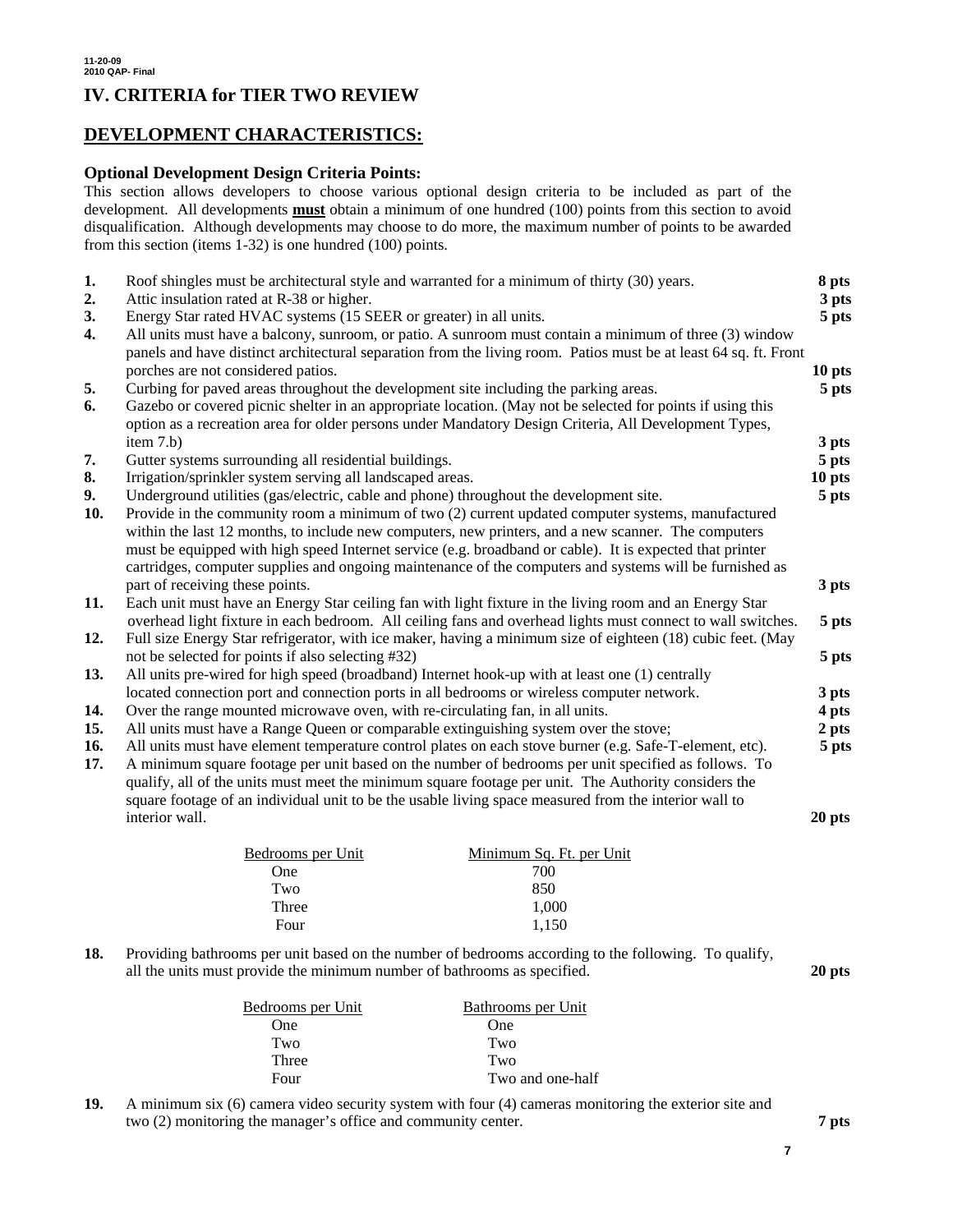# **DEVELOPMENT CHARACTERISTICS:**

### **Optional Development Design Criteria Points:**

This section allows developers to choose various optional design criteria to be included as part of the development. All developments **must** obtain a minimum of one hundred (100) points from this section to avoid disqualification. Although developments may choose to do more, the maximum number of points to be awarded from this section (items 1-32) is one hundred (100) points.

| 1.<br>2.   | Roof shingles must be architectural style and warranted for a minimum of thirty (30) years.<br>Attic insulation rated at R-38 or higher.                                                                                                                                                                                                                                                                                                                                                                                  | 8 pts<br>3 pts |
|------------|---------------------------------------------------------------------------------------------------------------------------------------------------------------------------------------------------------------------------------------------------------------------------------------------------------------------------------------------------------------------------------------------------------------------------------------------------------------------------------------------------------------------------|----------------|
| 3.         | Energy Star rated HVAC systems (15 SEER or greater) in all units.                                                                                                                                                                                                                                                                                                                                                                                                                                                         | 5 pts          |
| 4.         | All units must have a balcony, sunroom, or patio. A sunroom must contain a minimum of three (3) window<br>panels and have distinct architectural separation from the living room. Patios must be at least 64 sq. ft. Front                                                                                                                                                                                                                                                                                                |                |
|            | porches are not considered patios.                                                                                                                                                                                                                                                                                                                                                                                                                                                                                        | 10 pts         |
| 5.<br>6.   | Curbing for paved areas throughout the development site including the parking areas.<br>Gazebo or covered picnic shelter in an appropriate location. (May not be selected for points if using this<br>option as a recreation area for older persons under Mandatory Design Criteria, All Development Types,                                                                                                                                                                                                               | 5 pts          |
|            | item 7.b)                                                                                                                                                                                                                                                                                                                                                                                                                                                                                                                 | 3 pts          |
| 7.         | Gutter systems surrounding all residential buildings.                                                                                                                                                                                                                                                                                                                                                                                                                                                                     | 5 pts          |
| 8.         | Irrigation/sprinkler system serving all landscaped areas.                                                                                                                                                                                                                                                                                                                                                                                                                                                                 | 10 pts         |
| 9.<br>10.  | Underground utilities (gas/electric, cable and phone) throughout the development site.<br>Provide in the community room a minimum of two (2) current updated computer systems, manufactured<br>within the last 12 months, to include new computers, new printers, and a new scanner. The computers<br>must be equipped with high speed Internet service (e.g. broadband or cable). It is expected that printer<br>cartridges, computer supplies and ongoing maintenance of the computers and systems will be furnished as | 5 pts          |
|            | part of receiving these points.                                                                                                                                                                                                                                                                                                                                                                                                                                                                                           | 3 pts          |
| 11.        | Each unit must have an Energy Star ceiling fan with light fixture in the living room and an Energy Star<br>overhead light fixture in each bedroom. All ceiling fans and overhead lights must connect to wall switches.                                                                                                                                                                                                                                                                                                    | 5 pts          |
| 12.        | Full size Energy Star refrigerator, with ice maker, having a minimum size of eighteen (18) cubic feet. (May                                                                                                                                                                                                                                                                                                                                                                                                               |                |
| 13.        | not be selected for points if also selecting #32)<br>All units pre-wired for high speed (broadband) Internet hook-up with at least one (1) centrally                                                                                                                                                                                                                                                                                                                                                                      | 5 pts          |
|            | located connection port and connection ports in all bedrooms or wireless computer network.                                                                                                                                                                                                                                                                                                                                                                                                                                | 3 pts          |
| 14.        | Over the range mounted microwave oven, with re-circulating fan, in all units.                                                                                                                                                                                                                                                                                                                                                                                                                                             | 4 pts          |
| 15.        | All units must have a Range Queen or comparable extinguishing system over the stove;                                                                                                                                                                                                                                                                                                                                                                                                                                      | 2 pts          |
| 16.<br>17. | All units must have element temperature control plates on each stove burner (e.g. Safe-T-element, etc).<br>A minimum square footage per unit based on the number of bedrooms per unit specified as follows. To<br>qualify, all of the units must meet the minimum square footage per unit. The Authority considers the<br>square footage of an individual unit to be the usable living space measured from the interior wall to                                                                                           | 5 pts          |
|            | interior wall.                                                                                                                                                                                                                                                                                                                                                                                                                                                                                                            | 20 pts         |
|            | Bedrooms per Unit<br>Minimum Sq. Ft. per Unit                                                                                                                                                                                                                                                                                                                                                                                                                                                                             |                |
|            | 700<br>One                                                                                                                                                                                                                                                                                                                                                                                                                                                                                                                |                |
|            | 850<br>Two                                                                                                                                                                                                                                                                                                                                                                                                                                                                                                                |                |
|            | Three<br>1,000                                                                                                                                                                                                                                                                                                                                                                                                                                                                                                            |                |

**18.** Providing bathrooms per unit based on the number of bedrooms according to the following. To qualify, all the units must provide the minimum number of bathrooms as specified. **20 pts** 

Four 1,150

| Bedrooms per Unit | Bathrooms per Unit |
|-------------------|--------------------|
| <b>One</b>        | One                |
| Two               | Two                |
| Three             | Two                |
| Four              | Two and one-half   |

**19.** A minimum six (6) camera video security system with four (4) cameras monitoring the exterior site and two (2) monitoring the manager's office and community center. **7 pts**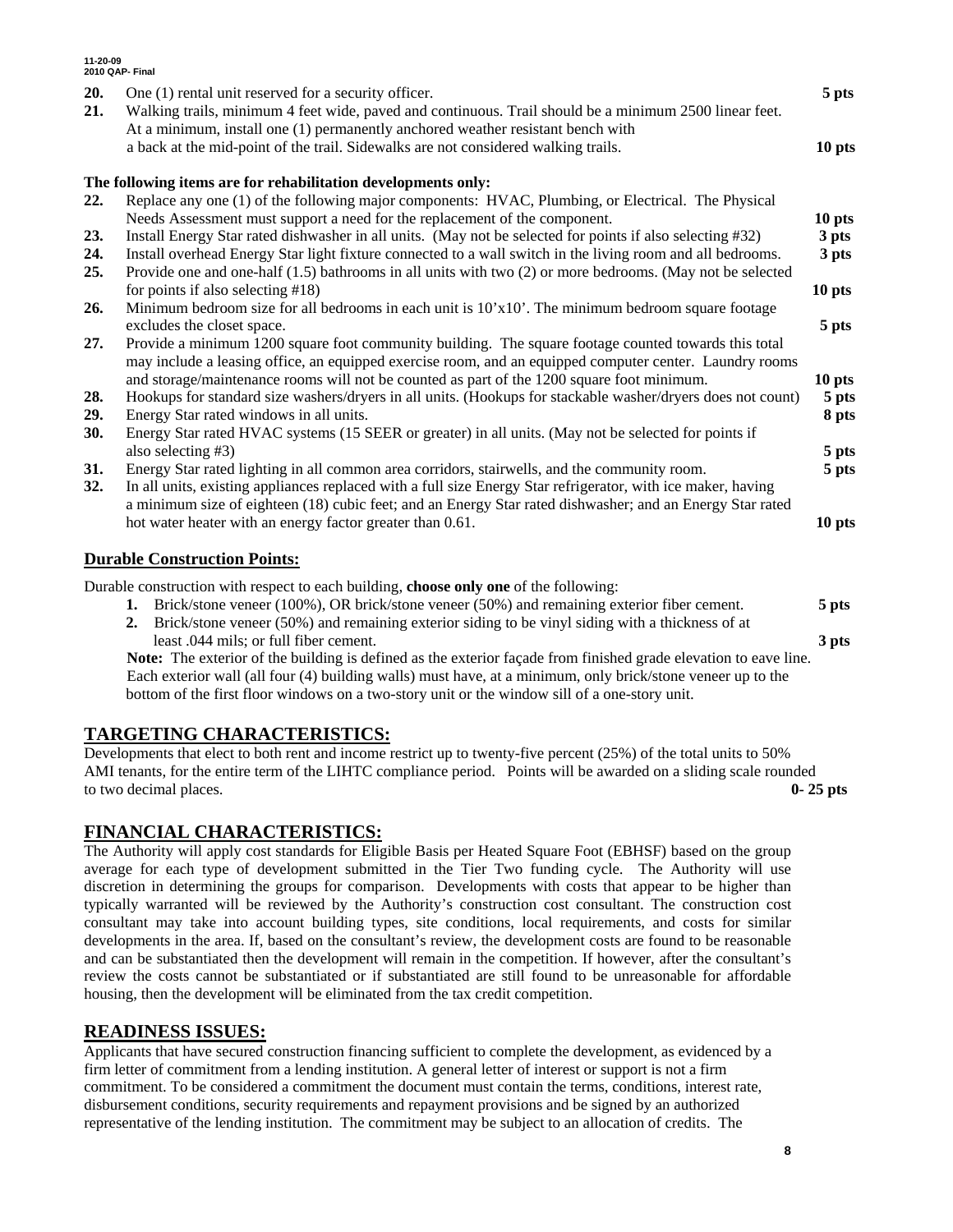| 11-20-09   | 2010 QAP- Final                                                                                                                                                                                                         |                            |
|------------|-------------------------------------------------------------------------------------------------------------------------------------------------------------------------------------------------------------------------|----------------------------|
| 20.        | One (1) rental unit reserved for a security officer.                                                                                                                                                                    | 5 pts                      |
| 21.        | Walking trails, minimum 4 feet wide, paved and continuous. Trail should be a minimum 2500 linear feet.                                                                                                                  |                            |
|            | At a minimum, install one (1) permanently anchored weather resistant bench with                                                                                                                                         |                            |
|            | a back at the mid-point of the trail. Sidewalks are not considered walking trails.                                                                                                                                      | 10 pts                     |
|            | The following items are for rehabilitation developments only:                                                                                                                                                           |                            |
| 22.        | Replace any one (1) of the following major components: HVAC, Plumbing, or Electrical. The Physical                                                                                                                      |                            |
|            | Needs Assessment must support a need for the replacement of the component.                                                                                                                                              | 10 <sub>pts</sub>          |
| 23.        | Install Energy Star rated dishwasher in all units. (May not be selected for points if also selecting #32)                                                                                                               | 3 pts                      |
| 24.<br>25. | Install overhead Energy Star light fixture connected to a wall switch in the living room and all bedrooms.<br>Provide one and one-half (1.5) bathrooms in all units with two (2) or more bedrooms. (May not be selected | 3 pts                      |
|            | for points if also selecting $#18$ )                                                                                                                                                                                    | 10 <sub>pts</sub>          |
| 26.        | Minimum bedroom size for all bedrooms in each unit is 10'x10'. The minimum bedroom square footage                                                                                                                       |                            |
|            | excludes the closet space.                                                                                                                                                                                              | 5 pts                      |
| 27.        | Provide a minimum 1200 square foot community building. The square footage counted towards this total<br>may include a leasing office, an equipped exercise room, and an equipped computer center. Laundry rooms         |                            |
| 28.        | and storage/maintenance rooms will not be counted as part of the 1200 square foot minimum.<br>Hookups for standard size washers/dryers in all units. (Hookups for stackable washer/dryers does not count)               | 10 <sub>pts</sub><br>5 pts |
| 29.        | Energy Star rated windows in all units.                                                                                                                                                                                 | 8 pts                      |
| <b>30.</b> | Energy Star rated HVAC systems (15 SEER or greater) in all units. (May not be selected for points if                                                                                                                    |                            |
|            | also selecting #3)                                                                                                                                                                                                      | 5 pts                      |
| 31.        | Energy Star rated lighting in all common area corridors, stairwells, and the community room.                                                                                                                            | 5 pts                      |
| 32.        | In all units, existing appliances replaced with a full size Energy Star refrigerator, with ice maker, having                                                                                                            |                            |
|            | a minimum size of eighteen (18) cubic feet; and an Energy Star rated dishwasher; and an Energy Star rated                                                                                                               |                            |
|            | hot water heater with an energy factor greater than 0.61.                                                                                                                                                               | 10 pts                     |
|            | <b>Durable Construction Points:</b>                                                                                                                                                                                     |                            |
|            | Durable construction with respect to each building, choose only one of the following:                                                                                                                                   |                            |
|            | $(1000)$ $\overline{0}$ $\overline{1}$ $\overline{1}$ $\overline{1}$                                                                                                                                                    |                            |

**1.** Brick/stone veneer (100%), OR brick/stone veneer (50%) and remaining exterior fiber cement. **5 pts 2.** Brick/stone veneer (50%) and remaining exterior siding to be vinyl siding with a thickness of at least .044 mils; or full fiber cement. **3 pts Note:** The exterior of the building is defined as the exterior façade from finished grade elevation to eave line.

Each exterior wall (all four (4) building walls) must have, at a minimum, only brick/stone veneer up to the bottom of the first floor windows on a two-story unit or the window sill of a one-story unit.

## **TARGETING CHARACTERISTICS:**

Developments that elect to both rent and income restrict up to twenty-five percent (25%) of the total units to 50% AMI tenants, for the entire term of the LIHTC compliance period. Points will be awarded on a sliding scale rounded to two decimal places. **0- 25 pts**

## **FINANCIAL CHARACTERISTICS:**

The Authority will apply cost standards for Eligible Basis per Heated Square Foot (EBHSF) based on the group average for each type of development submitted in the Tier Two funding cycle. The Authority will use discretion in determining the groups for comparison. Developments with costs that appear to be higher than typically warranted will be reviewed by the Authority's construction cost consultant. The construction cost consultant may take into account building types, site conditions, local requirements, and costs for similar developments in the area. If, based on the consultant's review, the development costs are found to be reasonable and can be substantiated then the development will remain in the competition. If however, after the consultant's review the costs cannot be substantiated or if substantiated are still found to be unreasonable for affordable housing, then the development will be eliminated from the tax credit competition.

## **READINESS ISSUES:**

**11-20-09** 

Applicants that have secured construction financing sufficient to complete the development, as evidenced by a firm letter of commitment from a lending institution. A general letter of interest or support is not a firm commitment. To be considered a commitment the document must contain the terms, conditions, interest rate, disbursement conditions, security requirements and repayment provisions and be signed by an authorized representative of the lending institution. The commitment may be subject to an allocation of credits. The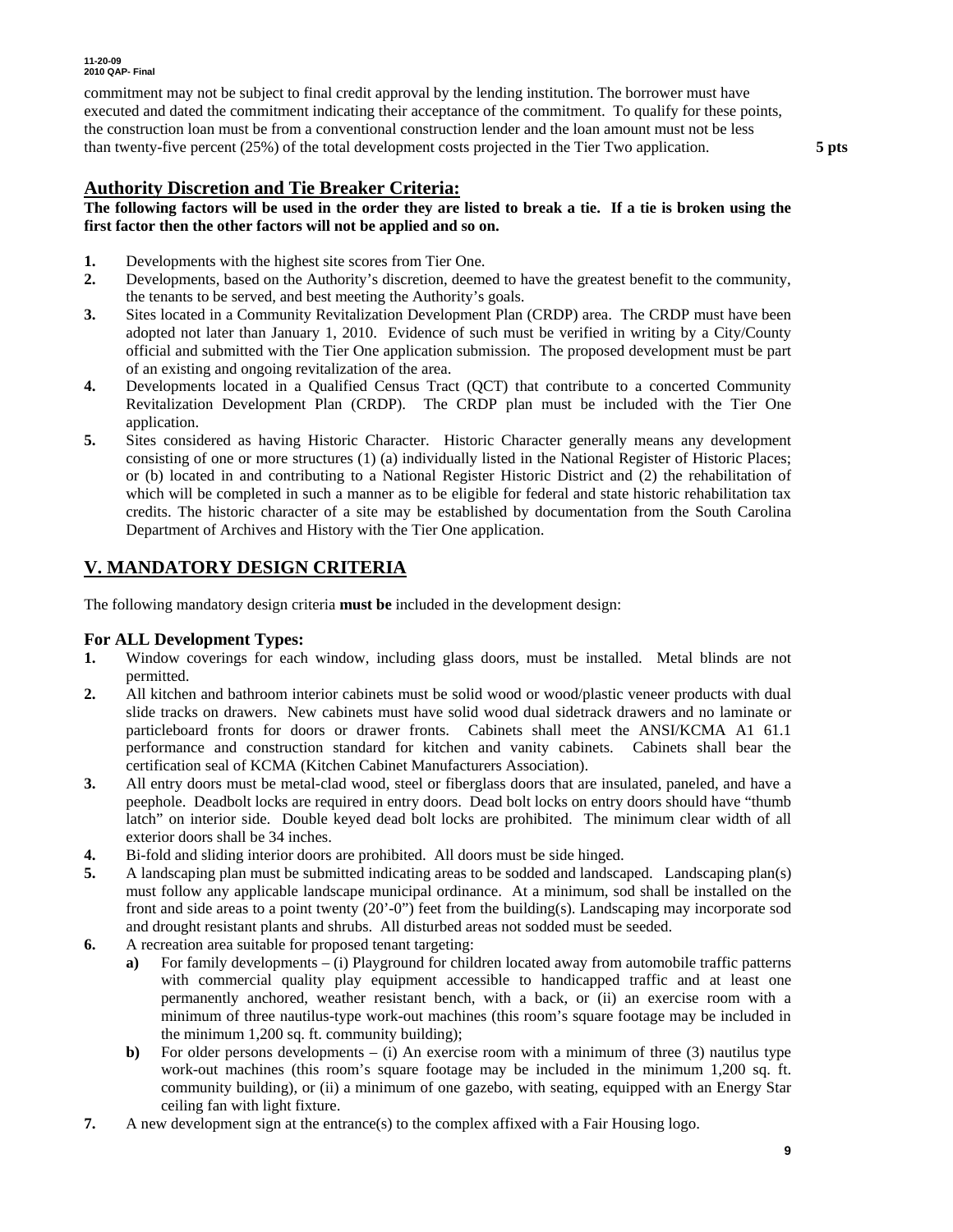commitment may not be subject to final credit approval by the lending institution. The borrower must have executed and dated the commitment indicating their acceptance of the commitment. To qualify for these points, the construction loan must be from a conventional construction lender and the loan amount must not be less than twenty-five percent (25%) of the total development costs projected in the Tier Two application. **5 pts** 

## **Authority Discretion and Tie Breaker Criteria:**

#### **The following factors will be used in the order they are listed to break a tie. If a tie is broken using the first factor then the other factors will not be applied and so on.**

- **1.** Developments with the highest site scores from Tier One.
- **2.** Developments, based on the Authority's discretion, deemed to have the greatest benefit to the community, the tenants to be served, and best meeting the Authority's goals.
- **3.** Sites located in a Community Revitalization Development Plan (CRDP) area. The CRDP must have been adopted not later than January 1, 2010. Evidence of such must be verified in writing by a City/County official and submitted with the Tier One application submission. The proposed development must be part of an existing and ongoing revitalization of the area.
- **4.** Developments located in a Qualified Census Tract (QCT) that contribute to a concerted Community Revitalization Development Plan (CRDP). The CRDP plan must be included with the Tier One application.
- **5.** Sites considered as having Historic Character. Historic Character generally means any development consisting of one or more structures (1) (a) individually listed in the National Register of Historic Places; or (b) located in and contributing to a National Register Historic District and (2) the rehabilitation of which will be completed in such a manner as to be eligible for federal and state historic rehabilitation tax credits. The historic character of a site may be established by documentation from the South Carolina Department of Archives and History with the Tier One application.

## **V. MANDATORY DESIGN CRITERIA**

The following mandatory design criteria **must be** included in the development design:

## **For ALL Development Types:**

- **1.** Window coverings for each window, including glass doors, must be installed. Metal blinds are not permitted.
- **2.** All kitchen and bathroom interior cabinets must be solid wood or wood/plastic veneer products with dual slide tracks on drawers. New cabinets must have solid wood dual sidetrack drawers and no laminate or particleboard fronts for doors or drawer fronts. Cabinets shall meet the ANSI/KCMA A1 61.1 performance and construction standard for kitchen and vanity cabinets. Cabinets shall bear the certification seal of KCMA (Kitchen Cabinet Manufacturers Association).
- **3.** All entry doors must be metal-clad wood, steel or fiberglass doors that are insulated, paneled, and have a peephole. Deadbolt locks are required in entry doors. Dead bolt locks on entry doors should have "thumb latch" on interior side. Double keyed dead bolt locks are prohibited. The minimum clear width of all exterior doors shall be 34 inches.
- **4.** Bi-fold and sliding interior doors are prohibited. All doors must be side hinged.
- **5.** A landscaping plan must be submitted indicating areas to be sodded and landscaped. Landscaping plan(s) must follow any applicable landscape municipal ordinance. At a minimum, sod shall be installed on the front and side areas to a point twenty (20'-0") feet from the building(s). Landscaping may incorporate sod and drought resistant plants and shrubs. All disturbed areas not sodded must be seeded.
- **6.** A recreation area suitable for proposed tenant targeting:
	- **a)** For family developments (i) Playground for children located away from automobile traffic patterns with commercial quality play equipment accessible to handicapped traffic and at least one permanently anchored, weather resistant bench, with a back, or (ii) an exercise room with a minimum of three nautilus-type work-out machines (this room's square footage may be included in the minimum 1,200 sq. ft. community building);
	- **b)** For older persons developments  $-$  (i) An exercise room with a minimum of three (3) nautilus type work-out machines (this room's square footage may be included in the minimum 1,200 sq. ft. community building), or (ii) a minimum of one gazebo, with seating, equipped with an Energy Star ceiling fan with light fixture.
- **7.** A new development sign at the entrance(s) to the complex affixed with a Fair Housing logo.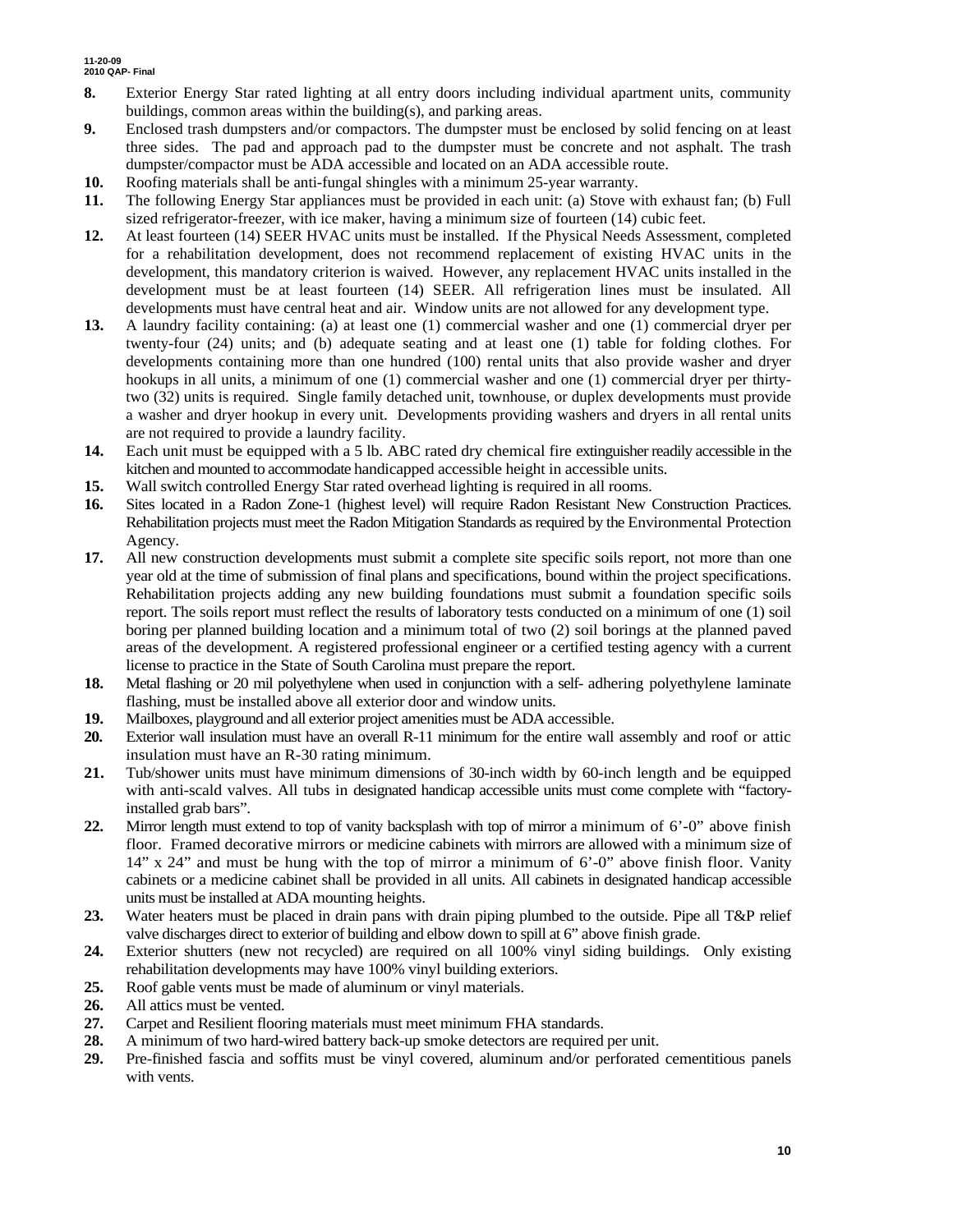- **8.** Exterior Energy Star rated lighting at all entry doors including individual apartment units, community buildings, common areas within the building(s), and parking areas.
- **9.** Enclosed trash dumpsters and/or compactors. The dumpster must be enclosed by solid fencing on at least three sides. The pad and approach pad to the dumpster must be concrete and not asphalt. The trash dumpster/compactor must be ADA accessible and located on an ADA accessible route.
- **10.** Roofing materials shall be anti-fungal shingles with a minimum 25-year warranty.
- **11.** The following Energy Star appliances must be provided in each unit: (a) Stove with exhaust fan; (b) Full sized refrigerator-freezer, with ice maker, having a minimum size of fourteen (14) cubic feet.
- **12.** At least fourteen (14) SEER HVAC units must be installed. If the Physical Needs Assessment, completed for a rehabilitation development, does not recommend replacement of existing HVAC units in the development, this mandatory criterion is waived. However, any replacement HVAC units installed in the development must be at least fourteen (14) SEER. All refrigeration lines must be insulated. All developments must have central heat and air. Window units are not allowed for any development type.
- **13.** A laundry facility containing: (a) at least one (1) commercial washer and one (1) commercial dryer per twenty-four (24) units; and (b) adequate seating and at least one (1) table for folding clothes. For developments containing more than one hundred (100) rental units that also provide washer and dryer hookups in all units, a minimum of one (1) commercial washer and one (1) commercial dryer per thirtytwo (32) units is required. Single family detached unit, townhouse, or duplex developments must provide a washer and dryer hookup in every unit. Developments providing washers and dryers in all rental units are not required to provide a laundry facility.
- **14.** Each unit must be equipped with a 5 lb. ABC rated dry chemical fire extinguisher readily accessible in the kitchen and mounted to accommodate handicapped accessible height in accessible units.
- **15.** Wall switch controlled Energy Star rated overhead lighting is required in all rooms.
- **16.** Sites located in a Radon Zone-1 (highest level) will require Radon Resistant New Construction Practices. Rehabilitation projects must meet the Radon Mitigation Standards as required by the Environmental Protection Agency.
- **17.** All new construction developments must submit a complete site specific soils report, not more than one year old at the time of submission of final plans and specifications, bound within the project specifications. Rehabilitation projects adding any new building foundations must submit a foundation specific soils report. The soils report must reflect the results of laboratory tests conducted on a minimum of one (1) soil boring per planned building location and a minimum total of two (2) soil borings at the planned paved areas of the development. A registered professional engineer or a certified testing agency with a current license to practice in the State of South Carolina must prepare the report.
- **18.** Metal flashing or 20 mil polyethylene when used in conjunction with a self- adhering polyethylene laminate flashing, must be installed above all exterior door and window units.
- **19.** Mailboxes, playground and all exterior project amenities must be ADA accessible.
- **20.** Exterior wall insulation must have an overall R-11 minimum for the entire wall assembly and roof or attic insulation must have an R-30 rating minimum.
- **21.** Tub/shower units must have minimum dimensions of 30-inch width by 60-inch length and be equipped with anti-scald valves. All tubs in designated handicap accessible units must come complete with "factoryinstalled grab bars".
- **22.** Mirror length must extend to top of vanity backsplash with top of mirror a minimum of 6'-0" above finish floor. Framed decorative mirrors or medicine cabinets with mirrors are allowed with a minimum size of  $14$ " x  $24$ " and must be hung with the top of mirror a minimum of 6'-0" above finish floor. Vanity cabinets or a medicine cabinet shall be provided in all units. All cabinets in designated handicap accessible units must be installed at ADA mounting heights.
- **23.** Water heaters must be placed in drain pans with drain piping plumbed to the outside. Pipe all T&P relief valve discharges direct to exterior of building and elbow down to spill at 6" above finish grade.
- **24.** Exterior shutters (new not recycled) are required on all 100% vinyl siding buildings. Only existing rehabilitation developments may have 100% vinyl building exteriors.
- **25.** Roof gable vents must be made of aluminum or vinyl materials.
- **26.** All attics must be vented.
- **27.** Carpet and Resilient flooring materials must meet minimum FHA standards.
- **28.** A minimum of two hard-wired battery back-up smoke detectors are required per unit.
- **29.** Pre-finished fascia and soffits must be vinyl covered, aluminum and/or perforated cementitious panels with vents.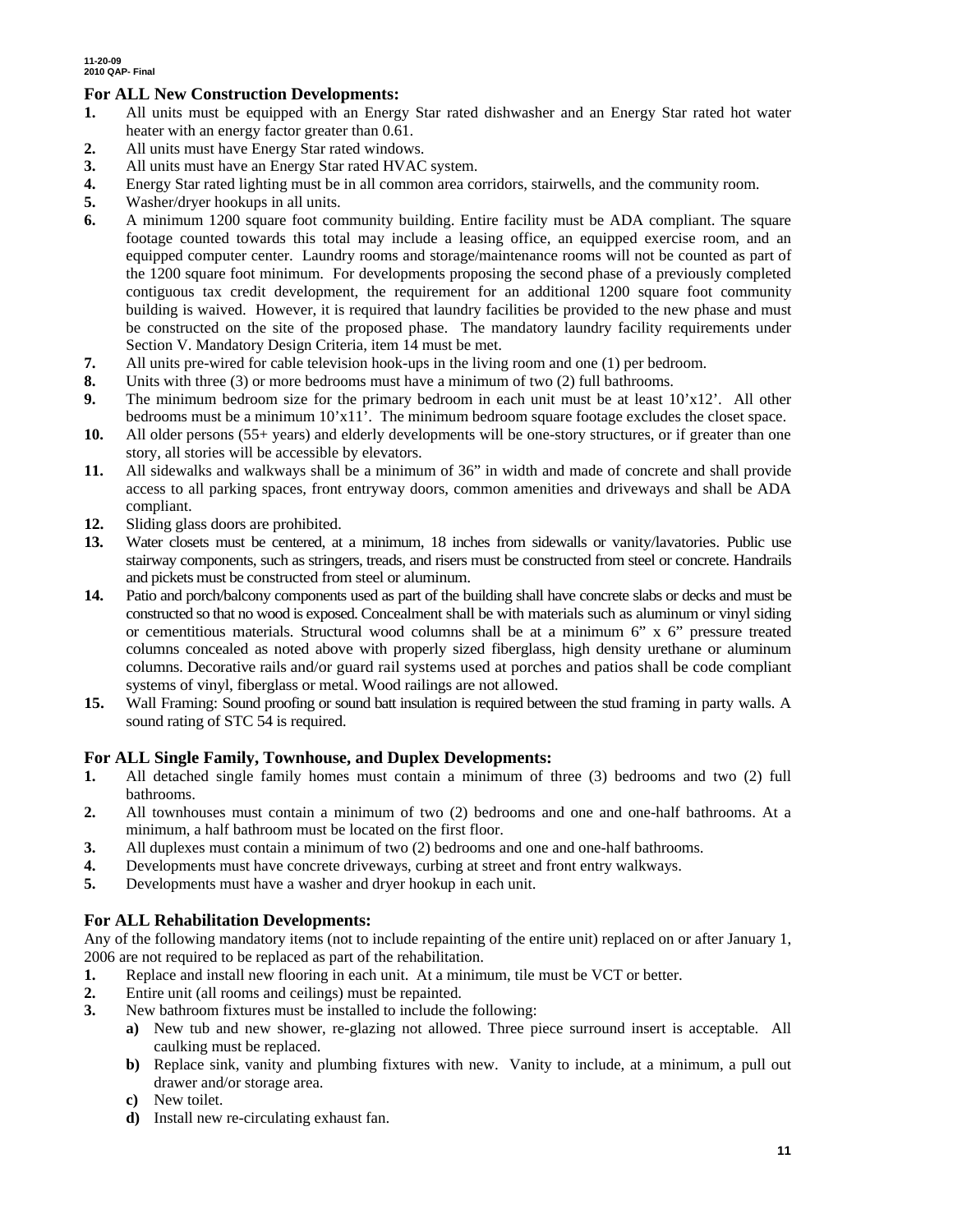## **For ALL New Construction Developments:**

- **1.** All units must be equipped with an Energy Star rated dishwasher and an Energy Star rated hot water heater with an energy factor greater than 0.61.
- **2.** All units must have Energy Star rated windows.
- **3.** All units must have an Energy Star rated HVAC system.
- **4.** Energy Star rated lighting must be in all common area corridors, stairwells, and the community room.
- **5.** Washer/dryer hookups in all units.
- **6.** A minimum 1200 square foot community building. Entire facility must be ADA compliant. The square footage counted towards this total may include a leasing office, an equipped exercise room, and an equipped computer center. Laundry rooms and storage/maintenance rooms will not be counted as part of the 1200 square foot minimum. For developments proposing the second phase of a previously completed contiguous tax credit development, the requirement for an additional 1200 square foot community building is waived. However, it is required that laundry facilities be provided to the new phase and must be constructed on the site of the proposed phase. The mandatory laundry facility requirements under Section V. Mandatory Design Criteria, item 14 must be met.
- **7.** All units pre-wired for cable television hook-ups in the living room and one (1) per bedroom.
- **8.** Units with three (3) or more bedrooms must have a minimum of two (2) full bathrooms.
- **9.** The minimum bedroom size for the primary bedroom in each unit must be at least 10'x12'. All other bedrooms must be a minimum 10'x11'. The minimum bedroom square footage excludes the closet space.
- **10.** All older persons (55+ years) and elderly developments will be one-story structures, or if greater than one story, all stories will be accessible by elevators.
- **11.** All sidewalks and walkways shall be a minimum of 36" in width and made of concrete and shall provide access to all parking spaces, front entryway doors, common amenities and driveways and shall be ADA compliant.
- **12.** Sliding glass doors are prohibited.
- **13.** Water closets must be centered, at a minimum, 18 inches from sidewalls or vanity/lavatories. Public use stairway components, such as stringers, treads, and risers must be constructed from steel or concrete. Handrails and pickets must be constructed from steel or aluminum.
- **14.** Patio and porch/balcony components used as part of the building shall have concrete slabs or decks and must be constructed so that no wood is exposed. Concealment shall be with materials such as aluminum or vinyl siding or cementitious materials. Structural wood columns shall be at a minimum 6" x 6" pressure treated columns concealed as noted above with properly sized fiberglass, high density urethane or aluminum columns. Decorative rails and/or guard rail systems used at porches and patios shall be code compliant systems of vinyl, fiberglass or metal. Wood railings are not allowed.
- **15.** Wall Framing: Sound proofing or sound batt insulation is required between the stud framing in party walls. A sound rating of STC 54 is required.

## **For ALL Single Family, Townhouse, and Duplex Developments:**

- **1.** All detached single family homes must contain a minimum of three (3) bedrooms and two (2) full bathrooms.
- **2.** All townhouses must contain a minimum of two (2) bedrooms and one and one-half bathrooms. At a minimum, a half bathroom must be located on the first floor.
- **3.** All duplexes must contain a minimum of two (2) bedrooms and one and one-half bathrooms.
- **4.** Developments must have concrete driveways, curbing at street and front entry walkways.
- **5.** Developments must have a washer and dryer hookup in each unit.

## **For ALL Rehabilitation Developments:**

Any of the following mandatory items (not to include repainting of the entire unit) replaced on or after January 1, 2006 are not required to be replaced as part of the rehabilitation.

- **1.** Replace and install new flooring in each unit. At a minimum, tile must be VCT or better.
- **2.** Entire unit (all rooms and ceilings) must be repainted.
- **3.** New bathroom fixtures must be installed to include the following:
	- **a)** New tub and new shower, re-glazing not allowed. Three piece surround insert is acceptable. All caulking must be replaced.
	- **b)** Replace sink, vanity and plumbing fixtures with new. Vanity to include, at a minimum, a pull out drawer and/or storage area.
	- **c)** New toilet.
	- **d)** Install new re-circulating exhaust fan.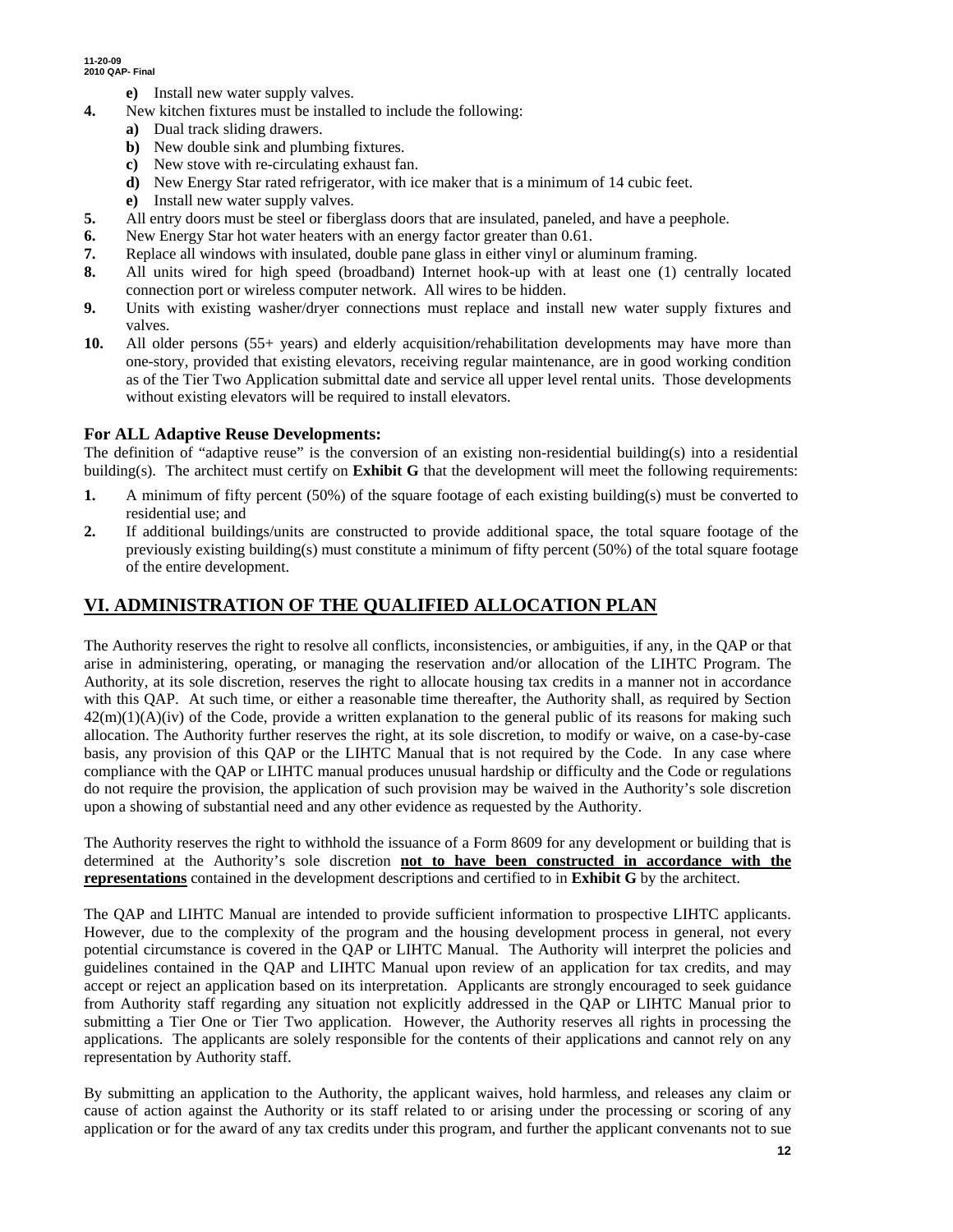- **e)** Install new water supply valves.
- **4.** New kitchen fixtures must be installed to include the following:
	- **a)** Dual track sliding drawers.
	- **b)** New double sink and plumbing fixtures.
	- **c)** New stove with re-circulating exhaust fan.
	- **d)** New Energy Star rated refrigerator, with ice maker that is a minimum of 14 cubic feet.
	- **e)** Install new water supply valves.
- **5.** All entry doors must be steel or fiberglass doors that are insulated, paneled, and have a peephole.
- **6.** New Energy Star hot water heaters with an energy factor greater than 0.61.
- **7.** Replace all windows with insulated, double pane glass in either vinyl or aluminum framing.
- **8.** All units wired for high speed (broadband) Internet hook-up with at least one (1) centrally located connection port or wireless computer network. All wires to be hidden.
- **9.** Units with existing washer/dryer connections must replace and install new water supply fixtures and valves.
- **10.** All older persons (55+ years) and elderly acquisition/rehabilitation developments may have more than one-story, provided that existing elevators, receiving regular maintenance, are in good working condition as of the Tier Two Application submittal date and service all upper level rental units. Those developments without existing elevators will be required to install elevators.

## **For ALL Adaptive Reuse Developments:**

The definition of "adaptive reuse" is the conversion of an existing non-residential building(s) into a residential building(s). The architect must certify on **Exhibit G** that the development will meet the following requirements:

- **1.** A minimum of fifty percent (50%) of the square footage of each existing building(s) must be converted to residential use; and
- **2.** If additional buildings/units are constructed to provide additional space, the total square footage of the previously existing building(s) must constitute a minimum of fifty percent (50%) of the total square footage of the entire development.

# **VI. ADMINISTRATION OF THE QUALIFIED ALLOCATION PLAN**

The Authority reserves the right to resolve all conflicts, inconsistencies, or ambiguities, if any, in the QAP or that arise in administering, operating, or managing the reservation and/or allocation of the LIHTC Program. The Authority, at its sole discretion, reserves the right to allocate housing tax credits in a manner not in accordance with this QAP. At such time, or either a reasonable time thereafter, the Authority shall, as required by Section  $42(m)(1)(A)(iv)$  of the Code, provide a written explanation to the general public of its reasons for making such allocation. The Authority further reserves the right, at its sole discretion, to modify or waive, on a case-by-case basis, any provision of this QAP or the LIHTC Manual that is not required by the Code. In any case where compliance with the QAP or LIHTC manual produces unusual hardship or difficulty and the Code or regulations do not require the provision, the application of such provision may be waived in the Authority's sole discretion upon a showing of substantial need and any other evidence as requested by the Authority.

The Authority reserves the right to withhold the issuance of a Form 8609 for any development or building that is determined at the Authority's sole discretion **not to have been constructed in accordance with the representations** contained in the development descriptions and certified to in **Exhibit G** by the architect.

The QAP and LIHTC Manual are intended to provide sufficient information to prospective LIHTC applicants. However, due to the complexity of the program and the housing development process in general, not every potential circumstance is covered in the QAP or LIHTC Manual. The Authority will interpret the policies and guidelines contained in the QAP and LIHTC Manual upon review of an application for tax credits, and may accept or reject an application based on its interpretation. Applicants are strongly encouraged to seek guidance from Authority staff regarding any situation not explicitly addressed in the QAP or LIHTC Manual prior to submitting a Tier One or Tier Two application. However, the Authority reserves all rights in processing the applications. The applicants are solely responsible for the contents of their applications and cannot rely on any representation by Authority staff.

By submitting an application to the Authority, the applicant waives, hold harmless, and releases any claim or cause of action against the Authority or its staff related to or arising under the processing or scoring of any application or for the award of any tax credits under this program, and further the applicant convenants not to sue